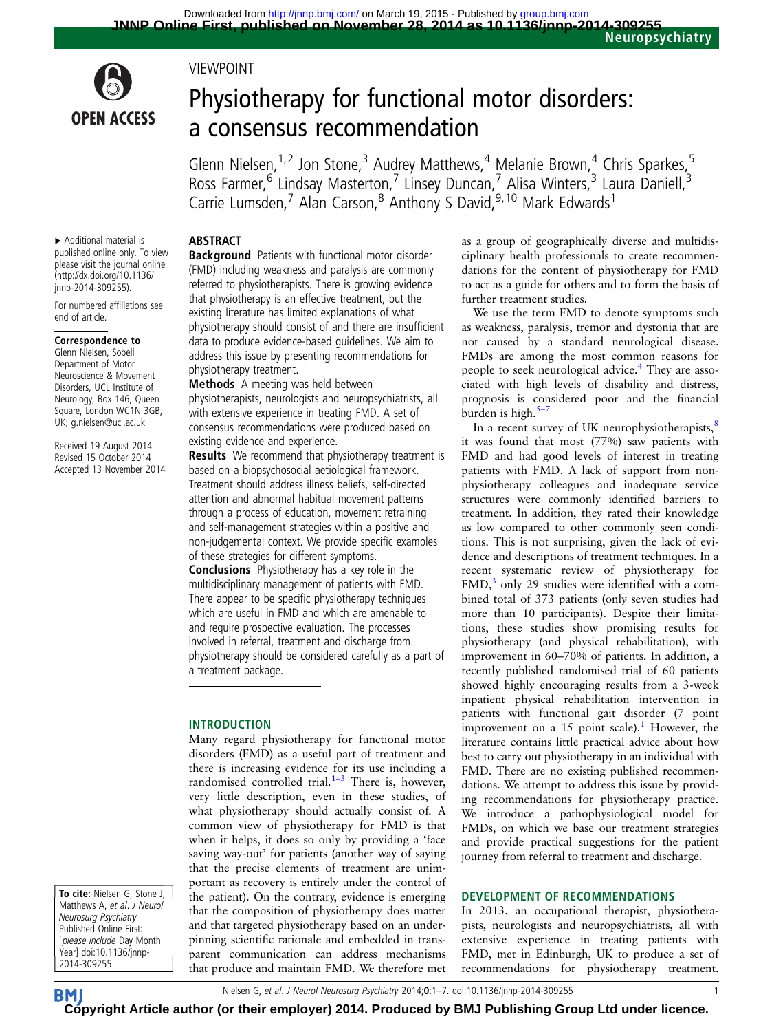

## VIEWPOINT

# Physiotherapy for functional motor disorders: a consensus recommendation

Glenn Nielsen,<sup>1,2</sup> Jon Stone,<sup>3</sup> Audrey Matthews,<sup>4</sup> Melanie Brown,<sup>4</sup> Chris Sparkes,<sup>5</sup> Ross Farmer,<sup>6</sup> Lindsay Masterton,<sup>7</sup> Linsey Duncan,<sup>7</sup> Alisa Winters,<sup>3</sup> Laura Daniell,<sup>3</sup> Carrie Lumsden,<sup>7</sup> Alan Carson,<sup>8</sup> Anthony S David, 9,10 Mark Edwards<sup>1</sup>

#### ▸ Additional material is published online only. To view please visit the journal online [\(http://dx.doi.org/10.1136/](http://dx.doi.org/10.1136/jnnp-2014-309255) [jnnp-2014-309255](http://dx.doi.org/10.1136/jnnp-2014-309255)).

For numbered affiliations see end of article.

#### Correspondence to

Glenn Nielsen, Sobell Department of Motor Neuroscience & Movement Disorders, UCL Institute of Neurology, Box 146, Queen Square, London WC1N 3GB, UK; g.nielsen@ucl.ac.uk

Received 19 August 2014 Revised 15 October 2014 Accepted 13 November 2014 **ABSTRACT** Background Patients with functional motor disorder (FMD) including weakness and paralysis are commonly referred to physiotherapists. There is growing evidence that physiotherapy is an effective treatment, but the existing literature has limited explanations of what physiotherapy should consist of and there are insufficient data to produce evidence-based guidelines. We aim to address this issue by presenting recommendations for physiotherapy treatment.

Methods A meeting was held between physiotherapists, neurologists and neuropsychiatrists, all with extensive experience in treating FMD. A set of consensus recommendations were produced based on existing evidence and experience.

**Results** We recommend that physiotherapy treatment is based on a biopsychosocial aetiological framework. Treatment should address illness beliefs, self-directed attention and abnormal habitual movement patterns through a process of education, movement retraining and self-management strategies within a positive and non-judgemental context. We provide specific examples of these strategies for different symptoms.

Conclusions Physiotherapy has a key role in the multidisciplinary management of patients with FMD. There appear to be specific physiotherapy techniques which are useful in FMD and which are amenable to and require prospective evaluation. The processes involved in referral, treatment and discharge from physiotherapy should be considered carefully as a part of a treatment package.

#### INTRODUCTION

Many regard physiotherapy for functional motor disorders (FMD) as a useful part of treatment and there is increasing evidence for its use including a randomised controlled trial. $1-3$  $1-3$  There is, however, very little description, even in these studies, of what physiotherapy should actually consist of. A common view of physiotherapy for FMD is that when it helps, it does so only by providing a 'face saving way-out' for patients (another way of saying that the precise elements of treatment are unimportant as recovery is entirely under the control of the patient). On the contrary, evidence is emerging that the composition of physiotherapy does matter and that targeted physiotherapy based on an underpinning scientific rationale and embedded in transparent communication can address mechanisms that produce and maintain FMD. We therefore met as a group of geographically diverse and multidisciplinary health professionals to create recommendations for the content of physiotherapy for FMD to act as a guide for others and to form the basis of further treatment studies.

We use the term FMD to denote symptoms such as weakness, paralysis, tremor and dystonia that are not caused by a standard neurological disease. FMDs are among the most common reasons for people to seek neurological advice.<sup>[4](#page-6-0)</sup> They are associated with high levels of disability and distress, prognosis is considered poor and the financial burden is high. $5-7$  $5-7$ 

In a recent survey of UK neurophysiotherapists, $8$ it was found that most (77%) saw patients with FMD and had good levels of interest in treating patients with FMD. A lack of support from nonphysiotherapy colleagues and inadequate service structures were commonly identified barriers to treatment. In addition, they rated their knowledge as low compared to other commonly seen conditions. This is not surprising, given the lack of evidence and descriptions of treatment techniques. In a recent systematic review of physiotherapy for  $FMD<sub>1</sub><sup>3</sup>$  $FMD<sub>1</sub><sup>3</sup>$  $FMD<sub>1</sub><sup>3</sup>$  only 29 studies were identified with a combined total of 373 patients (only seven studies had more than 10 participants). Despite their limitations, these studies show promising results for physiotherapy (and physical rehabilitation), with improvement in 60–70% of patients. In addition, a recently published randomised trial of 60 patients showed highly encouraging results from a 3-week inpatient physical rehabilitation intervention in patients with functional gait disorder (7 point improvement on a [1](#page-6-0)5 point scale).<sup>1</sup> However, the literature contains little practical advice about how best to carry out physiotherapy in an individual with FMD. There are no existing published recommendations. We attempt to address this issue by providing recommendations for physiotherapy practice. We introduce a pathophysiological model for FMDs, on which we base our treatment strategies and provide practical suggestions for the patient journey from referral to treatment and discharge.

#### DEVELOPMENT OF RECOMMENDATIONS

In 2013, an occupational therapist, physiotherapists, neurologists and neuropsychiatrists, all with extensive experience in treating patients with FMD, met in Edinburgh, UK to produce a set of recommendations for physiotherapy treatment.

To cite: Nielsen G, Stone J, Matthews A, et al. J Neurol Neurosurg Psychiatry Published Online First: [please include Day Month Year] doi:10.1136/jnnp-2014-309255

**BM** 

Nielsen G, et al. J Neurol Neurosurg Psychiatry 2014;0:1–7. doi:10.1136/jnnp-2014-309255 1

**[Cop](http://jnnp.bmj.com)yright Article author (or their employer) 2014. Produced by BMJ Publishing Group Ltd under licence.**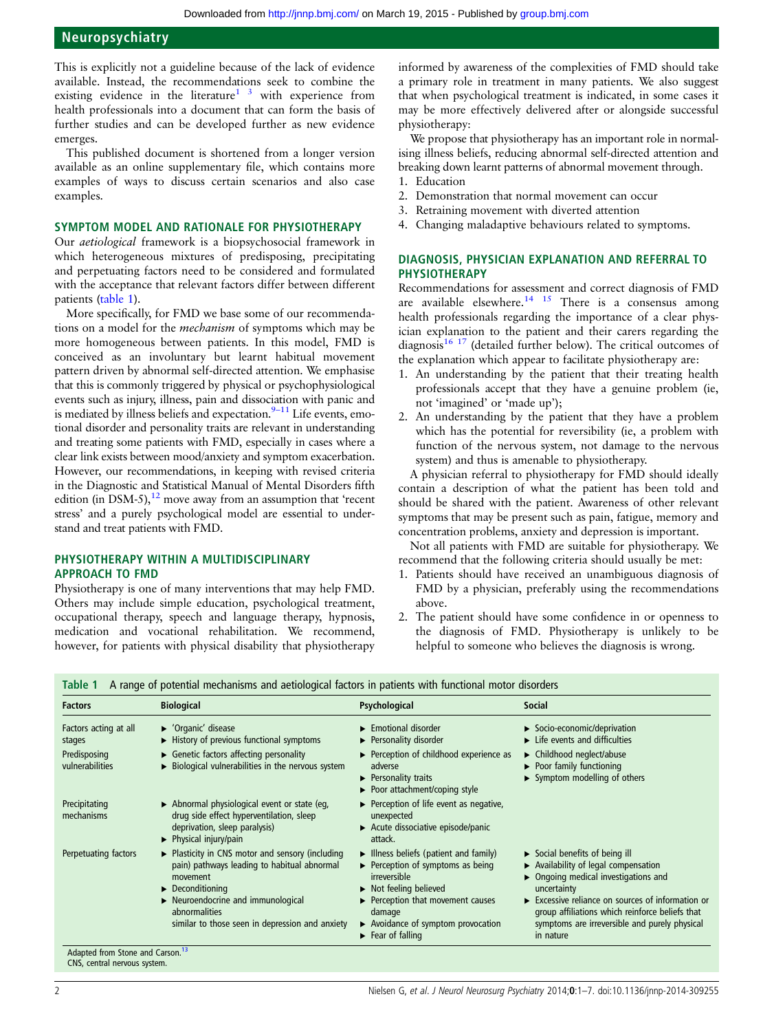## Neuropsychiatry

This is explicitly not a guideline because of the lack of evidence available. Instead, the recommendations seek to combine the existing evidence in the literature<sup>1</sup>  $\frac{3}{2}$  with experience from health professionals into a document that can form the basis of further studies and can be developed further as new evidence emerges.

This published document is shortened from a longer version available as an online supplementary file, which contains more examples of ways to discuss certain scenarios and also case examples.

#### SYMPTOM MODEL AND RATIONALE FOR PHYSIOTHERAPY

Our aetiological framework is a biopsychosocial framework in which heterogeneous mixtures of predisposing, precipitating and perpetuating factors need to be considered and formulated with the acceptance that relevant factors differ between different patients (table 1).

More specifically, for FMD we base some of our recommendations on a model for the mechanism of symptoms which may be more homogeneous between patients. In this model, FMD is conceived as an involuntary but learnt habitual movement pattern driven by abnormal self-directed attention. We emphasise that this is commonly triggered by physical or psychophysiological events such as injury, illness, pain and dissociation with panic and is mediated by illness beliefs and expectation. $9-11$  $9-11$  Life events, emotional disorder and personality traits are relevant in understanding and treating some patients with FMD, especially in cases where a clear link exists between mood/anxiety and symptom exacerbation. However, our recommendations, in keeping with revised criteria in the Diagnostic and Statistical Manual of Mental Disorders fifth edition (in DSM-5), $^{12}$  move away from an assumption that 'recent stress' and a purely psychological model are essential to understand and treat patients with FMD.

#### PHYSIOTHERAPY WITHIN A MULTIDISCIPLINARY APPROACH TO FMD

Physiotherapy is one of many interventions that may help FMD. Others may include simple education, psychological treatment, occupational therapy, speech and language therapy, hypnosis, medication and vocational rehabilitation. We recommend, however, for patients with physical disability that physiotherapy

informed by awareness of the complexities of FMD should take a primary role in treatment in many patients. We also suggest that when psychological treatment is indicated, in some cases it may be more effectively delivered after or alongside successful physiotherapy:

We propose that physiotherapy has an important role in normalising illness beliefs, reducing abnormal self-directed attention and breaking down learnt patterns of abnormal movement through.

- 1. Education
- 2. Demonstration that normal movement can occur
- 3. Retraining movement with diverted attention
- 4. Changing maladaptive behaviours related to symptoms.

#### DIAGNOSIS, PHYSICIAN EXPLANATION AND REFERRAL TO PHYSIOTHERAPY

Recommendations for assessment and correct diagnosis of FMD are available elsewhere.<sup>14 15</sup> There is a consensus among health professionals regarding the importance of a clear physician explanation to the patient and their carers regarding the diagnosis<sup>16 17</sup> (detailed further below). The critical outcomes of the explanation which appear to facilitate physiotherapy are:

- 1. An understanding by the patient that their treating health professionals accept that they have a genuine problem (ie, not 'imagined' or 'made up');
- 2. An understanding by the patient that they have a problem which has the potential for reversibility (ie, a problem with function of the nervous system, not damage to the nervous system) and thus is amenable to physiotherapy.

A physician referral to physiotherapy for FMD should ideally contain a description of what the patient has been told and should be shared with the patient. Awareness of other relevant symptoms that may be present such as pain, fatigue, memory and concentration problems, anxiety and depression is important.

Not all patients with FMD are suitable for physiotherapy. We recommend that the following criteria should usually be met:

- 1. Patients should have received an unambiguous diagnosis of FMD by a physician, preferably using the recommendations above.
- 2. The patient should have some confidence in or openness to the diagnosis of FMD. Physiotherapy is unlikely to be helpful to someone who believes the diagnosis is wrong.

| <b>Factors</b>                  | <b>Biological</b>                                                                                                                                                                                                                                         | Psychological                                                                                                                                                                                                                                                                                       | <b>Social</b>                                                                                                                                                                                                                                                                                                                                                   |
|---------------------------------|-----------------------------------------------------------------------------------------------------------------------------------------------------------------------------------------------------------------------------------------------------------|-----------------------------------------------------------------------------------------------------------------------------------------------------------------------------------------------------------------------------------------------------------------------------------------------------|-----------------------------------------------------------------------------------------------------------------------------------------------------------------------------------------------------------------------------------------------------------------------------------------------------------------------------------------------------------------|
| Factors acting at all<br>stages | $\blacktriangleright$ 'Organic' disease<br>$\blacktriangleright$ History of previous functional symptoms                                                                                                                                                  | $\blacktriangleright$ Emotional disorder<br>Personality disorder                                                                                                                                                                                                                                    | Socio-economic/deprivation<br>$\blacktriangleright$ Life events and difficulties                                                                                                                                                                                                                                                                                |
| Predisposing<br>vulnerabilities | $\triangleright$ Genetic factors affecting personality<br>$\triangleright$ Biological vulnerabilities in the nervous system                                                                                                                               | ► Perception of childhood experience as<br>adverse<br>$\blacktriangleright$ Personality traits<br>$\triangleright$ Poor attachment/coping style                                                                                                                                                     | ► Childhood neglect/abuse<br>$\blacktriangleright$ Poor family functioning<br>$\triangleright$ Symptom modelling of others                                                                                                                                                                                                                                      |
| Precipitating<br>mechanisms     | $\triangleright$ Abnormal physiological event or state (eg,<br>drug side effect hyperventilation, sleep<br>deprivation, sleep paralysis)<br>$\blacktriangleright$ Physical injury/pain                                                                    | $\triangleright$ Perception of life event as negative,<br>unexpected<br>► Acute dissociative episode/panic<br>attack.                                                                                                                                                                               |                                                                                                                                                                                                                                                                                                                                                                 |
| Perpetuating factors            | Plasticity in CNS motor and sensory (including<br>pain) pathways leading to habitual abnormal<br>movement<br>$\blacktriangleright$ Deconditioning<br>Neuroendocrine and immunological<br>abnormalities<br>similar to those seen in depression and anxiety | $\blacktriangleright$ Illness beliefs (patient and family)<br>$\triangleright$ Perception of symptoms as being<br>irreversible<br>Not feeling believed<br>▶ Perception that movement causes<br>damage<br>$\triangleright$ Avoidance of symptom provocation<br>$\blacktriangleright$ Fear of falling | $\triangleright$ Social benefits of being ill<br>$\triangleright$ Availability of legal compensation<br>$\triangleright$ Ongoing medical investigations and<br>uncertainty<br>$\triangleright$ Excessive reliance on sources of information or<br>group affiliations which reinforce beliefs that<br>symptoms are irreversible and purely physical<br>in nature |

CNS, central nervous system.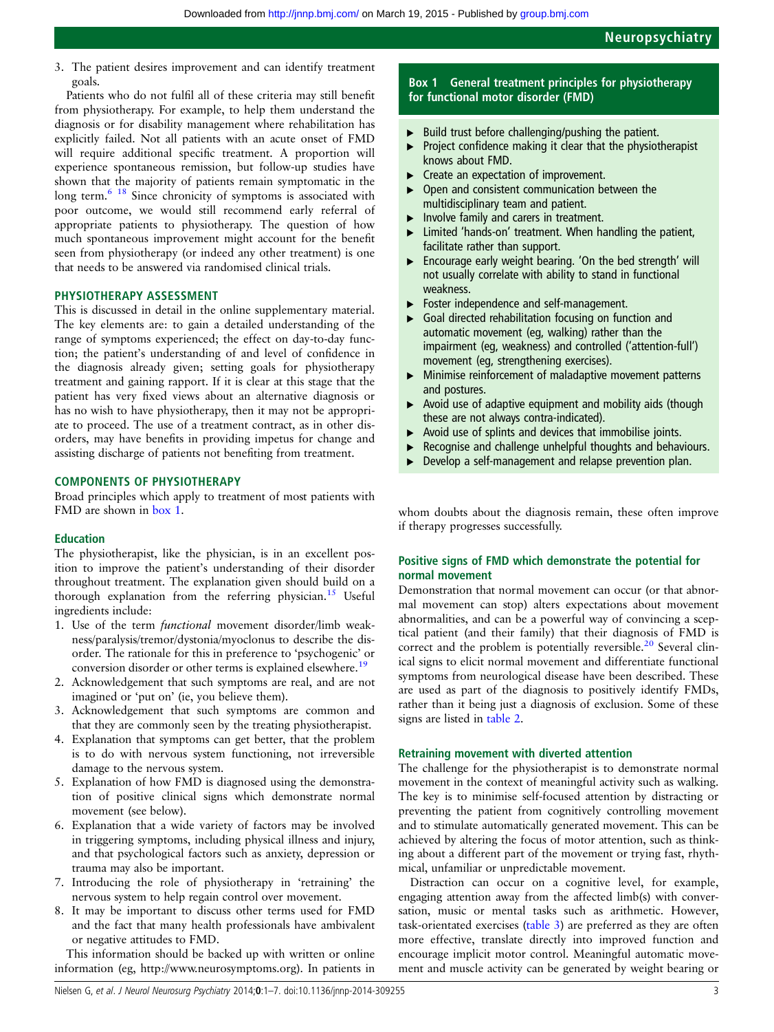3. The patient desires improvement and can identify treatment goals.

Patients who do not fulfil all of these criteria may still benefit from physiotherapy. For example, to help them understand the diagnosis or for disability management where rehabilitation has explicitly failed. Not all patients with an acute onset of FMD will require additional specific treatment. A proportion will experience spontaneous remission, but follow-up studies have shown that the majority of patients remain symptomatic in the long term.<sup>6</sup> <sup>18</sup> Since chronicity of symptoms is associated with poor outcome, we would still recommend early referral of appropriate patients to physiotherapy. The question of how much spontaneous improvement might account for the benefit seen from physiotherapy (or indeed any other treatment) is one that needs to be answered via randomised clinical trials.

#### PHYSIOTHERAPY ASSESSMENT

This is discussed in detail in the online [supplementary material](http://jnnp.bmj.com/lookup/suppl/doi:10.1136/jnnp-2014-309255/-/DC1). The key elements are: to gain a detailed understanding of the range of symptoms experienced; the effect on day-to-day function; the patient's understanding of and level of confidence in the diagnosis already given; setting goals for physiotherapy treatment and gaining rapport. If it is clear at this stage that the patient has very fixed views about an alternative diagnosis or has no wish to have physiotherapy, then it may not be appropriate to proceed. The use of a treatment contract, as in other disorders, may have benefits in providing impetus for change and assisting discharge of patients not benefiting from treatment.

#### COMPONENTS OF PHYSIOTHERAPY

Broad principles which apply to treatment of most patients with FMD are shown in box 1.

#### Education

The physiotherapist, like the physician, is in an excellent position to improve the patient's understanding of their disorder throughout treatment. The explanation given should build on a thorough explanation from the referring physician.<sup>[15](#page-6-0)</sup> Useful ingredients include:

- 1. Use of the term functional movement disorder/limb weakness/paralysis/tremor/dystonia/myoclonus to describe the disorder. The rationale for this in preference to 'psychogenic' or conversion disorder or other terms is explained elsewhere.<sup>[19](#page-6-0)</sup>
- 2. Acknowledgement that such symptoms are real, and are not imagined or 'put on' (ie, you believe them).
- 3. Acknowledgement that such symptoms are common and that they are commonly seen by the treating physiotherapist.
- 4. Explanation that symptoms can get better, that the problem is to do with nervous system functioning, not irreversible damage to the nervous system.
- 5. Explanation of how FMD is diagnosed using the demonstration of positive clinical signs which demonstrate normal movement (see below).
- 6. Explanation that a wide variety of factors may be involved in triggering symptoms, including physical illness and injury, and that psychological factors such as anxiety, depression or trauma may also be important.
- 7. Introducing the role of physiotherapy in 'retraining' the nervous system to help regain control over movement.
- 8. It may be important to discuss other terms used for FMD and the fact that many health professionals have ambivalent or negative attitudes to FMD.

This information should be backed up with written or online information (eg,<http://www.neurosymptoms.org>). In patients in

### Box 1 General treatment principles for physiotherapy for functional motor disorder (FMD)

- $\blacktriangleright$  Build trust before challenging/pushing the patient.
- Project confidence making it clear that the physiotherapist knows about FMD.
- ▸ Create an expectation of improvement.
- Open and consistent communication between the multidisciplinary team and patient.
- ▸ Involve family and carers in treatment.
- Limited 'hands-on' treatment. When handling the patient, facilitate rather than support.
- ▸ Encourage early weight bearing. 'On the bed strength' will not usually correlate with ability to stand in functional weakness.
- ▸ Foster independence and self-management.
- ▶ Goal directed rehabilitation focusing on function and automatic movement (eg, walking) rather than the impairment (eg, weakness) and controlled ('attention-full') movement (eg, strengthening exercises).
- ▸ Minimise reinforcement of maladaptive movement patterns and postures.
- $\triangleright$  Avoid use of adaptive equipment and mobility aids (though these are not always contra-indicated).
- ▶ Avoid use of splints and devices that immobilise joints.
- Recognise and challenge unhelpful thoughts and behaviours.
- ▸ Develop a self-management and relapse prevention plan.

whom doubts about the diagnosis remain, these often improve if therapy progresses successfully.

#### Positive signs of FMD which demonstrate the potential for normal movement

Demonstration that normal movement can occur (or that abnormal movement can stop) alters expectations about movement abnormalities, and can be a powerful way of convincing a sceptical patient (and their family) that their diagnosis of FMD is correct and the problem is potentially reversible. $20$  Several clinical signs to elicit normal movement and differentiate functional symptoms from neurological disease have been described. These are used as part of the diagnosis to positively identify FMDs, rather than it being just a diagnosis of exclusion. Some of these signs are listed in [table 2.](#page-3-0)

#### Retraining movement with diverted attention

The challenge for the physiotherapist is to demonstrate normal movement in the context of meaningful activity such as walking. The key is to minimise self-focused attention by distracting or preventing the patient from cognitively controlling movement and to stimulate automatically generated movement. This can be achieved by altering the focus of motor attention, such as thinking about a different part of the movement or trying fast, rhythmical, unfamiliar or unpredictable movement.

Distraction can occur on a cognitive level, for example, engaging attention away from the affected limb(s) with conversation, music or mental tasks such as arithmetic. However, task-orientated exercises [\(table 3](#page-4-0)) are preferred as they are often more effective, translate directly into improved function and encourage implicit motor control. Meaningful automatic movement and muscle activity can be generated by weight bearing or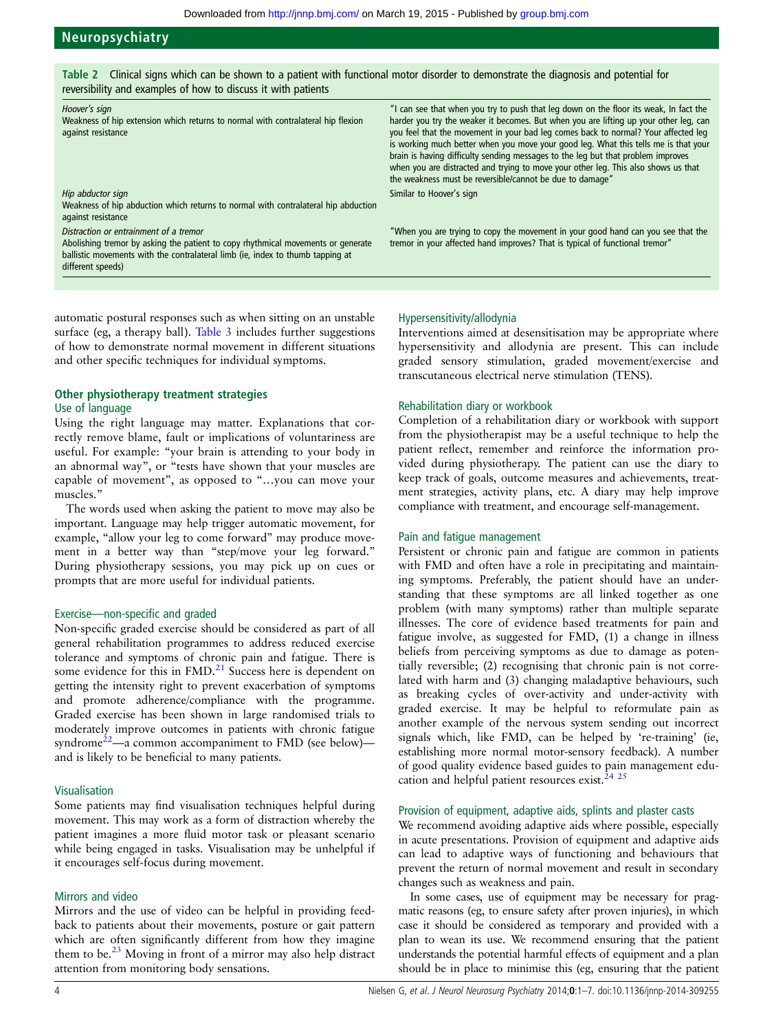## <span id="page-3-0"></span>Neuropsychiatry

| Table 2 Clinical signs which can be shown to a patient with functional motor disorder to demonstrate the diagnosis and potential for<br>reversibility and examples of how to discuss it with patients                             |                                                                                                                                                                                                                                                                                                                                                                                                                                                                                                                                                                                                   |  |  |
|-----------------------------------------------------------------------------------------------------------------------------------------------------------------------------------------------------------------------------------|---------------------------------------------------------------------------------------------------------------------------------------------------------------------------------------------------------------------------------------------------------------------------------------------------------------------------------------------------------------------------------------------------------------------------------------------------------------------------------------------------------------------------------------------------------------------------------------------------|--|--|
| Hoover's sign<br>Weakness of hip extension which returns to normal with contralateral hip flexion<br>against resistance                                                                                                           | "I can see that when you try to push that leg down on the floor its weak, In fact the<br>harder you try the weaker it becomes. But when you are lifting up your other leg, can<br>you feel that the movement in your bad leg comes back to normal? Your affected leg<br>is working much better when you move your good leg. What this tells me is that your<br>brain is having difficulty sending messages to the leg but that problem improves<br>when you are distracted and trying to move your other leg. This also shows us that<br>the weakness must be reversible/cannot be due to damage" |  |  |
| Hip abductor sign<br>Weakness of hip abduction which returns to normal with contralateral hip abduction<br>against resistance                                                                                                     | Similar to Hoover's sign                                                                                                                                                                                                                                                                                                                                                                                                                                                                                                                                                                          |  |  |
| Distraction or entrainment of a tremor<br>Abolishing tremor by asking the patient to copy rhythmical movements or generate<br>ballistic movements with the contralateral limb (ie, index to thumb tapping at<br>different speeds) | "When you are trying to copy the movement in your good hand can you see that the<br>tremor in your affected hand improves? That is typical of functional tremor"                                                                                                                                                                                                                                                                                                                                                                                                                                  |  |  |

automatic postural responses such as when sitting on an unstable surface (eg, a therapy ball). [Table 3](#page-4-0) includes further suggestions of how to demonstrate normal movement in different situations and other specific techniques for individual symptoms.

#### Other physiotherapy treatment strategies

#### Use of language

Using the right language may matter. Explanations that correctly remove blame, fault or implications of voluntariness are useful. For example: "your brain is attending to your body in an abnormal way", or "tests have shown that your muscles are capable of movement", as opposed to "…you can move your muscles."

The words used when asking the patient to move may also be important. Language may help trigger automatic movement, for example, "allow your leg to come forward" may produce movement in a better way than "step/move your leg forward." During physiotherapy sessions, you may pick up on cues or prompts that are more useful for individual patients.

#### Exercise—non-specific and graded

Non-specific graded exercise should be considered as part of all general rehabilitation programmes to address reduced exercise tolerance and symptoms of chronic pain and fatigue. There is some evidence for this in  $FMD<sup>21</sup>$  $FMD<sup>21</sup>$  $FMD<sup>21</sup>$  Success here is dependent on getting the intensity right to prevent exacerbation of symptoms and promote adherence/compliance with the programme. Graded exercise has been shown in large randomised trials to moderately improve outcomes in patients with chronic fatigue syndrome<sup>[22](#page-6-0)</sup>—a common accompaniment to FMD (see below) and is likely to be beneficial to many patients.

#### Visualisation

Some patients may find visualisation techniques helpful during movement. This may work as a form of distraction whereby the patient imagines a more fluid motor task or pleasant scenario while being engaged in tasks. Visualisation may be unhelpful if it encourages self-focus during movement.

#### Mirrors and video

Mirrors and the use of video can be helpful in providing feedback to patients about their movements, posture or gait pattern which are often significantly different from how they imagine them to be. $^{23}$  Moving in front of a mirror may also help distract attention from monitoring body sensations.

#### Hypersensitivity/allodynia

Interventions aimed at desensitisation may be appropriate where hypersensitivity and allodynia are present. This can include graded sensory stimulation, graded movement/exercise and transcutaneous electrical nerve stimulation (TENS).

#### Rehabilitation diary or workbook

Completion of a rehabilitation diary or workbook with support from the physiotherapist may be a useful technique to help the patient reflect, remember and reinforce the information provided during physiotherapy. The patient can use the diary to keep track of goals, outcome measures and achievements, treatment strategies, activity plans, etc. A diary may help improve compliance with treatment, and encourage self-management.

#### Pain and fatigue management

Persistent or chronic pain and fatigue are common in patients with FMD and often have a role in precipitating and maintaining symptoms. Preferably, the patient should have an understanding that these symptoms are all linked together as one problem (with many symptoms) rather than multiple separate illnesses. The core of evidence based treatments for pain and fatigue involve, as suggested for FMD, (1) a change in illness beliefs from perceiving symptoms as due to damage as potentially reversible; (2) recognising that chronic pain is not correlated with harm and (3) changing maladaptive behaviours, such as breaking cycles of over-activity and under-activity with graded exercise. It may be helpful to reformulate pain as another example of the nervous system sending out incorrect signals which, like FMD, can be helped by 're-training' (ie, establishing more normal motor-sensory feedback). A number of good quality evidence based guides to pain management education and helpful patient resources exist. $24/25$ 

#### Provision of equipment, adaptive aids, splints and plaster casts

We recommend avoiding adaptive aids where possible, especially in acute presentations. Provision of equipment and adaptive aids can lead to adaptive ways of functioning and behaviours that prevent the return of normal movement and result in secondary changes such as weakness and pain.

In some cases, use of equipment may be necessary for pragmatic reasons (eg, to ensure safety after proven injuries), in which case it should be considered as temporary and provided with a plan to wean its use. We recommend ensuring that the patient understands the potential harmful effects of equipment and a plan should be in place to minimise this (eg, ensuring that the patient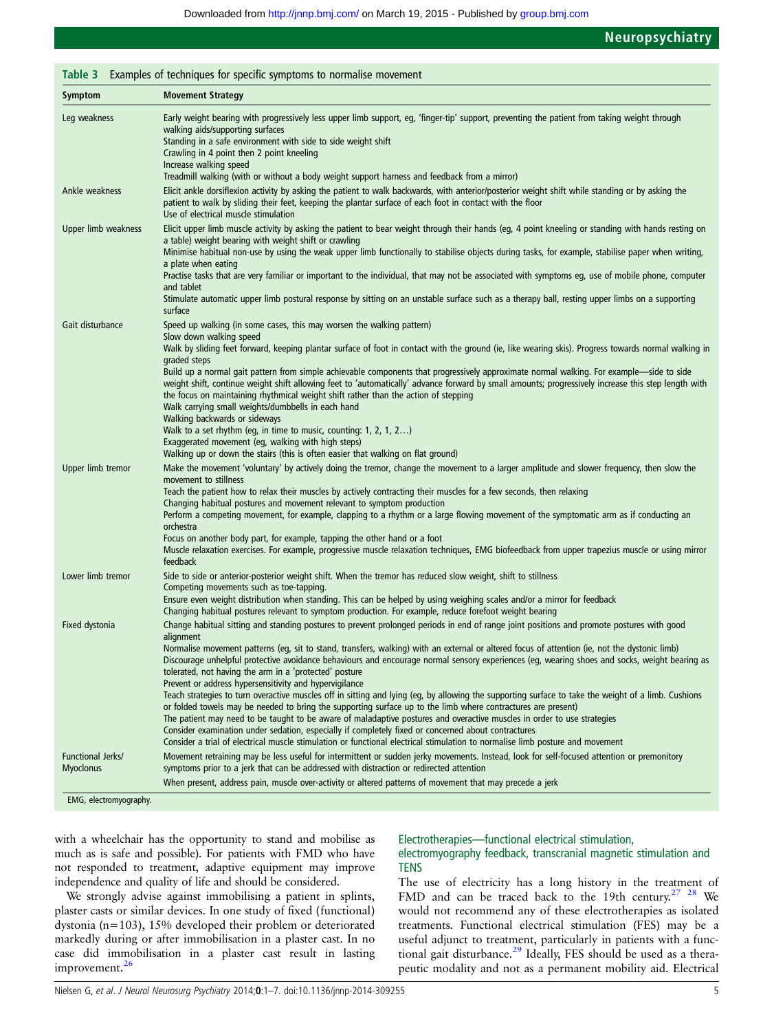<span id="page-4-0"></span>

| Symptom                               | <b>Movement Strategy</b>                                                                                                                                                                                                                                                                                                                                                                                                                                                                                                                                                                                                                                                                                                                                                                                                                                                                                                                                                                                                                                                                                                                                                                                                |  |
|---------------------------------------|-------------------------------------------------------------------------------------------------------------------------------------------------------------------------------------------------------------------------------------------------------------------------------------------------------------------------------------------------------------------------------------------------------------------------------------------------------------------------------------------------------------------------------------------------------------------------------------------------------------------------------------------------------------------------------------------------------------------------------------------------------------------------------------------------------------------------------------------------------------------------------------------------------------------------------------------------------------------------------------------------------------------------------------------------------------------------------------------------------------------------------------------------------------------------------------------------------------------------|--|
| Leg weakness                          | Early weight bearing with progressively less upper limb support, eq, 'finger-tip' support, preventing the patient from taking weight through<br>walking aids/supporting surfaces<br>Standing in a safe environment with side to side weight shift<br>Crawling in 4 point then 2 point kneeling<br>Increase walking speed<br>Treadmill walking (with or without a body weight support harness and feedback from a mirror)                                                                                                                                                                                                                                                                                                                                                                                                                                                                                                                                                                                                                                                                                                                                                                                                |  |
| Ankle weakness                        | Elicit ankle dorsiflexion activity by asking the patient to walk backwards, with anterior/posterior weight shift while standing or by asking the<br>patient to walk by sliding their feet, keeping the plantar surface of each foot in contact with the floor<br>Use of electrical muscle stimulation                                                                                                                                                                                                                                                                                                                                                                                                                                                                                                                                                                                                                                                                                                                                                                                                                                                                                                                   |  |
| Upper limb weakness                   | Elicit upper limb muscle activity by asking the patient to bear weight through their hands (eg, 4 point kneeling or standing with hands resting on<br>a table) weight bearing with weight shift or crawling<br>Minimise habitual non-use by using the weak upper limb functionally to stabilise objects during tasks, for example, stabilise paper when writing,<br>a plate when eating<br>Practise tasks that are very familiar or important to the individual, that may not be associated with symptoms eg, use of mobile phone, computer<br>and tablet<br>Stimulate automatic upper limb postural response by sitting on an unstable surface such as a therapy ball, resting upper limbs on a supporting<br>surface                                                                                                                                                                                                                                                                                                                                                                                                                                                                                                  |  |
| Gait disturbance                      | Speed up walking (in some cases, this may worsen the walking pattern)<br>Slow down walking speed<br>Walk by sliding feet forward, keeping plantar surface of foot in contact with the ground (ie, like wearing skis). Progress towards normal walking in<br>graded steps<br>Build up a normal gait pattern from simple achievable components that progressively approximate normal walking. For example-side to side<br>weight shift, continue weight shift allowing feet to 'automatically' advance forward by small amounts; progressively increase this step length with<br>the focus on maintaining rhythmical weight shift rather than the action of stepping<br>Walk carrying small weights/dumbbells in each hand<br>Walking backwards or sideways                                                                                                                                                                                                                                                                                                                                                                                                                                                               |  |
|                                       | Walk to a set rhythm (eq, in time to music, counting: 1, 2, 1, 2)<br>Exaggerated movement (eg, walking with high steps)<br>Walking up or down the stairs (this is often easier that walking on flat ground)                                                                                                                                                                                                                                                                                                                                                                                                                                                                                                                                                                                                                                                                                                                                                                                                                                                                                                                                                                                                             |  |
| Upper limb tremor                     | Make the movement 'voluntary' by actively doing the tremor, change the movement to a larger amplitude and slower frequency, then slow the<br>movement to stillness<br>Teach the patient how to relax their muscles by actively contracting their muscles for a few seconds, then relaxing<br>Changing habitual postures and movement relevant to symptom production<br>Perform a competing movement, for example, clapping to a rhythm or a large flowing movement of the symptomatic arm as if conducting an<br>orchestra<br>Focus on another body part, for example, tapping the other hand or a foot<br>Muscle relaxation exercises. For example, progressive muscle relaxation techniques, EMG biofeedback from upper trapezius muscle or using mirror<br>feedback                                                                                                                                                                                                                                                                                                                                                                                                                                                  |  |
| Lower limb tremor                     | Side to side or anterior-posterior weight shift. When the tremor has reduced slow weight, shift to stillness<br>Competing movements such as toe-tapping.<br>Ensure even weight distribution when standing. This can be helped by using weighing scales and/or a mirror for feedback<br>Changing habitual postures relevant to symptom production. For example, reduce forefoot weight bearing                                                                                                                                                                                                                                                                                                                                                                                                                                                                                                                                                                                                                                                                                                                                                                                                                           |  |
| Fixed dystonia                        | Change habitual sitting and standing postures to prevent prolonged periods in end of range joint positions and promote postures with good<br>alignment<br>Normalise movement patterns (eg, sit to stand, transfers, walking) with an external or altered focus of attention (ie, not the dystonic limb)<br>Discourage unhelpful protective avoidance behaviours and encourage normal sensory experiences (eq, wearing shoes and socks, weight bearing as<br>tolerated, not having the arm in a 'protected' posture<br>Prevent or address hypersensitivity and hypervigilance<br>Teach strategies to turn overactive muscles off in sitting and lying (eg, by allowing the supporting surface to take the weight of a limb. Cushions<br>or folded towels may be needed to bring the supporting surface up to the limb where contractures are present)<br>The patient may need to be taught to be aware of maladaptive postures and overactive muscles in order to use strategies<br>Consider examination under sedation, especially if completely fixed or concerned about contractures<br>Consider a trial of electrical muscle stimulation or functional electrical stimulation to normalise limb posture and movement |  |
| Functional Jerks/<br><b>Myoclonus</b> | Movement retraining may be less useful for intermittent or sudden jerky movements. Instead, look for self-focused attention or premonitory<br>symptoms prior to a jerk that can be addressed with distraction or redirected attention<br>When present, address pain, muscle over-activity or altered patterns of movement that may precede a jerk                                                                                                                                                                                                                                                                                                                                                                                                                                                                                                                                                                                                                                                                                                                                                                                                                                                                       |  |

with a wheelchair has the opportunity to stand and mobilise as much as is safe and possible). For patients with FMD who have not responded to treatment, adaptive equipment may improve independence and quality of life and should be considered.

We strongly advise against immobilising a patient in splints, plaster casts or similar devices. In one study of fixed (functional) dystonia (n=103), 15% developed their problem or deteriorated markedly during or after immobilisation in a plaster cast. In no case did immobilisation in a plaster cast result in lasting improvement.<sup>[26](#page-6-0)</sup>

#### Electrotherapies—functional electrical stimulation, electromyography feedback, transcranial magnetic stimulation and **TENS**

The use of electricity has a long history in the treatment of FMD and can be traced back to the 19th century.<sup>27</sup> <sup>28</sup> We would not recommend any of these electrotherapies as isolated treatments. Functional electrical stimulation (FES) may be a useful adjunct to treatment, particularly in patients with a functional gait disturbance. $29$  Ideally, FES should be used as a therapeutic modality and not as a permanent mobility aid. Electrical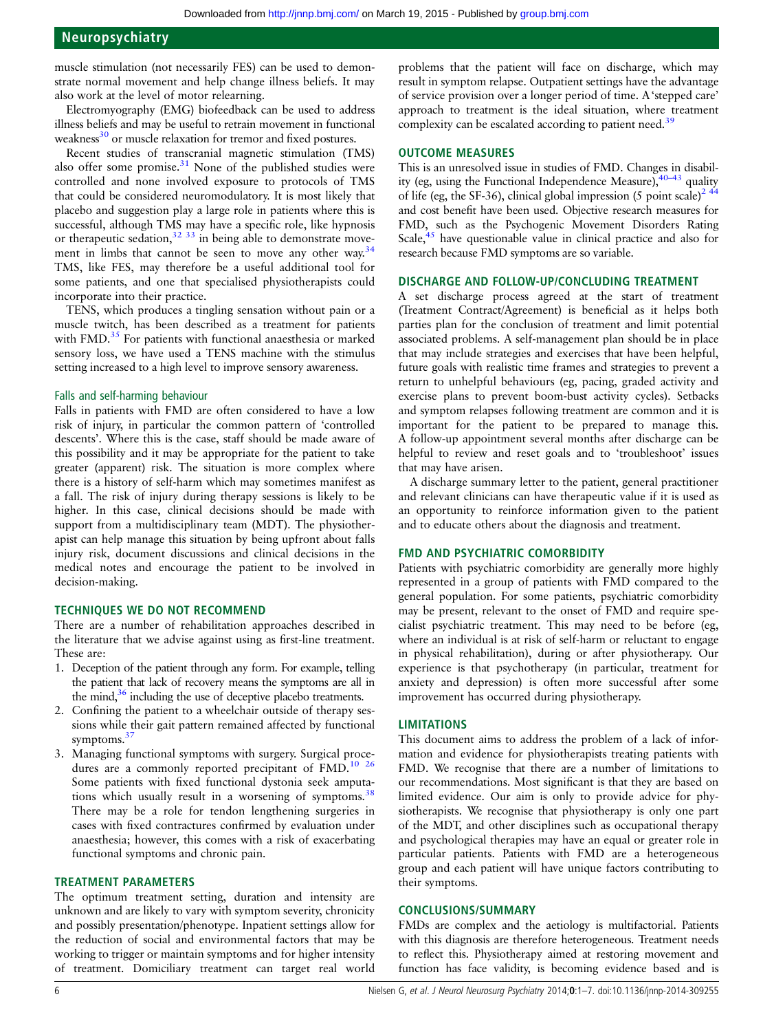## Neuropsychiatry

muscle stimulation (not necessarily FES) can be used to demonstrate normal movement and help change illness beliefs. It may also work at the level of motor relearning.

Electromyography (EMG) biofeedback can be used to address illness beliefs and may be useful to retrain movement in functional weakness<sup>30</sup> or muscle relaxation for tremor and fixed postures.

Recent studies of transcranial magnetic stimulation (TMS) also offer some promise. $31$  None of the published studies were controlled and none involved exposure to protocols of TMS that could be considered neuromodulatory. It is most likely that placebo and suggestion play a large role in patients where this is successful, although TMS may have a specific role, like hypnosis or therapeutic sedation, $32 \frac{33}{10}$  in being able to demonstrate move-ment in limbs that cannot be seen to move any other way.<sup>[34](#page-6-0)</sup> TMS, like FES, may therefore be a useful additional tool for some patients, and one that specialised physiotherapists could incorporate into their practice.

TENS, which produces a tingling sensation without pain or a muscle twitch, has been described as a treatment for patients with FMD.<sup>35</sup> For patients with functional anaesthesia or marked sensory loss, we have used a TENS machine with the stimulus setting increased to a high level to improve sensory awareness.

#### Falls and self-harming behaviour

Falls in patients with FMD are often considered to have a low risk of injury, in particular the common pattern of 'controlled descents'. Where this is the case, staff should be made aware of this possibility and it may be appropriate for the patient to take greater (apparent) risk. The situation is more complex where there is a history of self-harm which may sometimes manifest as a fall. The risk of injury during therapy sessions is likely to be higher. In this case, clinical decisions should be made with support from a multidisciplinary team (MDT). The physiotherapist can help manage this situation by being upfront about falls injury risk, document discussions and clinical decisions in the medical notes and encourage the patient to be involved in decision-making.

#### TECHNIQUES WE DO NOT RECOMMEND

There are a number of rehabilitation approaches described in the literature that we advise against using as first-line treatment. These are:

- 1. Deception of the patient through any form. For example, telling the patient that lack of recovery means the symptoms are all in the mind,<sup>36</sup> including the use of deceptive placebo treatments.
- 2. Confining the patient to a wheelchair outside of therapy sessions while their gait pattern remained affected by functional symptoms.<sup>[37](#page-6-0)</sup>
- 3. Managing functional symptoms with surgery. Surgical proce-dures are a commonly reported precipitant of FMD.<sup>[10 26](#page-6-0)</sup> Some patients with fixed functional dystonia seek amputations which usually result in a worsening of symptoms. $38$ There may be a role for tendon lengthening surgeries in cases with fixed contractures confirmed by evaluation under anaesthesia; however, this comes with a risk of exacerbating functional symptoms and chronic pain.

#### TREATMENT PARAMETERS

The optimum treatment setting, duration and intensity are unknown and are likely to vary with symptom severity, chronicity and possibly presentation/phenotype. Inpatient settings allow for the reduction of social and environmental factors that may be working to trigger or maintain symptoms and for higher intensity of treatment. Domiciliary treatment can target real world

problems that the patient will face on discharge, which may result in symptom relapse. Outpatient settings have the advantage of service provision over a longer period of time. A'stepped care' approach to treatment is the ideal situation, where treatment complexity can be escalated according to patient need.<sup>3</sup>

#### OUTCOME MEASURES

This is an unresolved issue in studies of FMD. Changes in disability (eg, using the Functional Independence Measure), $40-43$  quality of life (eg, the SF-36), clinical global impression (5 point scale)<sup>2</sup> <sup>44</sup> and cost benefit have been used. Objective research measures for FMD, such as the Psychogenic Movement Disorders Rating Scale, $45$  have questionable value in clinical practice and also for research because FMD symptoms are so variable.

## DISCHARGE AND FOLLOW-UP/CONCLUDING TREATMENT

A set discharge process agreed at the start of treatment (Treatment Contract/Agreement) is beneficial as it helps both parties plan for the conclusion of treatment and limit potential associated problems. A self-management plan should be in place that may include strategies and exercises that have been helpful, future goals with realistic time frames and strategies to prevent a return to unhelpful behaviours (eg, pacing, graded activity and exercise plans to prevent boom-bust activity cycles). Setbacks and symptom relapses following treatment are common and it is important for the patient to be prepared to manage this. A follow-up appointment several months after discharge can be helpful to review and reset goals and to 'troubleshoot' issues that may have arisen.

A discharge summary letter to the patient, general practitioner and relevant clinicians can have therapeutic value if it is used as an opportunity to reinforce information given to the patient and to educate others about the diagnosis and treatment.

#### FMD AND PSYCHIATRIC COMORBIDITY

Patients with psychiatric comorbidity are generally more highly represented in a group of patients with FMD compared to the general population. For some patients, psychiatric comorbidity may be present, relevant to the onset of FMD and require specialist psychiatric treatment. This may need to be before (eg, where an individual is at risk of self-harm or reluctant to engage in physical rehabilitation), during or after physiotherapy. Our experience is that psychotherapy (in particular, treatment for anxiety and depression) is often more successful after some improvement has occurred during physiotherapy.

#### LIMITATIONS

This document aims to address the problem of a lack of information and evidence for physiotherapists treating patients with FMD. We recognise that there are a number of limitations to our recommendations. Most significant is that they are based on limited evidence. Our aim is only to provide advice for physiotherapists. We recognise that physiotherapy is only one part of the MDT, and other disciplines such as occupational therapy and psychological therapies may have an equal or greater role in particular patients. Patients with FMD are a heterogeneous group and each patient will have unique factors contributing to their symptoms.

#### CONCLUSIONS/SUMMARY

FMDs are complex and the aetiology is multifactorial. Patients with this diagnosis are therefore heterogeneous. Treatment needs to reflect this. Physiotherapy aimed at restoring movement and function has face validity, is becoming evidence based and is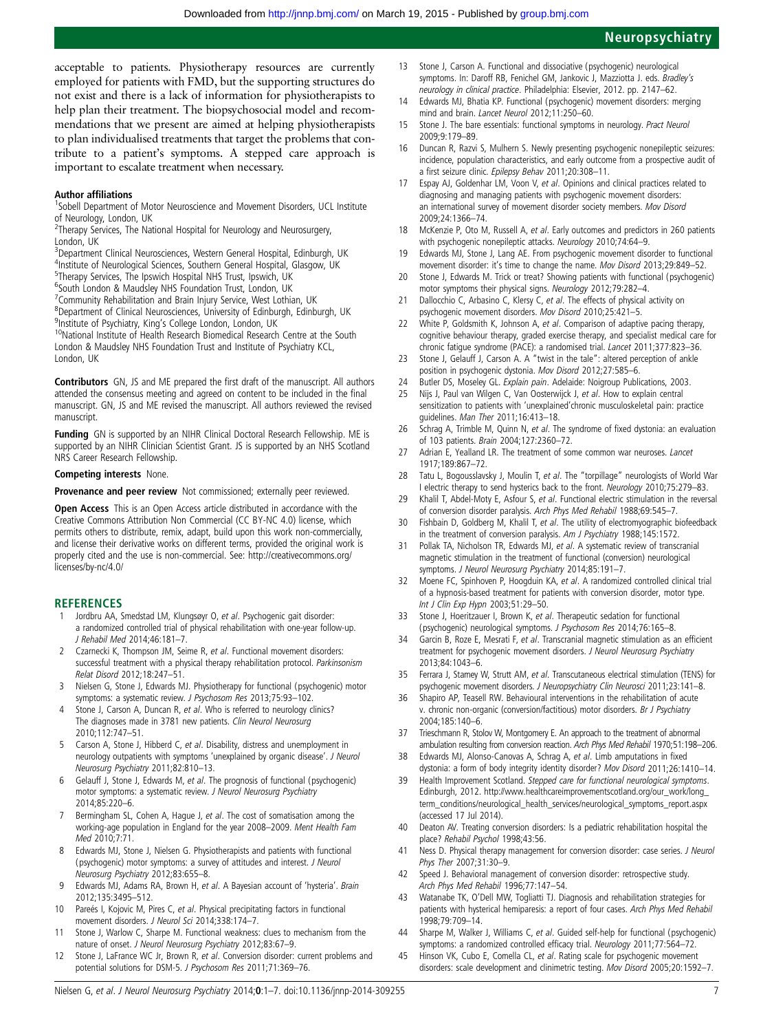<span id="page-6-0"></span>acceptable to patients. Physiotherapy resources are currently employed for patients with FMD, but the supporting structures do not exist and there is a lack of information for physiotherapists to help plan their treatment. The biopsychosocial model and recommendations that we present are aimed at helping physiotherapists to plan individualised treatments that target the problems that contribute to a patient's symptoms. A stepped care approach is important to escalate treatment when necessary.

#### Author affiliations <sup>1</sup>

<sup>1</sup>Sobell Department of Motor Neuroscience and Movement Disorders, UCL Institute of Neurology, London, UK

<sup>2</sup>Therapy Services, The National Hospital for Neurology and Neurosurgery, London, UK

<sup>3</sup>Department Clinical Neurosciences, Western General Hospital, Edinburgh, UK <sup>4</sup>Institute of Neurological Sciences, Southern General Hospital, Glasgow, UK

<sup>5</sup>Therapy Services, The Ipswich Hospital NHS Trust, Ipswich, UK

6 South London & Maudsley NHS Foundation Trust, London, UK

<sup>7</sup> Community Rehabilitation and Brain Injury Service, West Lothian, UK 8 Department of Clinical Neurosciences, University of Edinburgh, Edinburgh, UK

<sup>9</sup>Institute of Psychiatry, King's College London, London, UK

 $10$ National Institute of Health Research Biomedical Research Centre at the South London & Maudsley NHS Foundation Trust and Institute of Psychiatry KCL, London, UK

Contributors GN, JS and ME prepared the first draft of the manuscript. All authors attended the consensus meeting and agreed on content to be included in the final manuscript. GN, JS and ME revised the manuscript. All authors reviewed the revised manuscript.

Funding GN is supported by an NIHR Clinical Doctoral Research Fellowship. ME is supported by an NIHR Clinician Scientist Grant. JS is supported by an NHS Scotland NRS Career Research Fellowship.

#### Competing interests None.

Provenance and peer review Not commissioned; externally peer reviewed.

Open Access This is an Open Access article distributed in accordance with the Creative Commons Attribution Non Commercial (CC BY-NC 4.0) license, which permits others to distribute, remix, adapt, build upon this work non-commercially, and license their derivative works on different terms, provided the original work is properly cited and the use is non-commercial. See: [http://creativecommons.org/](http://creativecommons.org/licenses/by-nc/4.0/) [licenses/by-nc/4.0/](http://creativecommons.org/licenses/by-nc/4.0/)

#### **REFERENCES**

- Jordbru AA, Smedstad LM, Klungsøyr O, et al. Psychogenic gait disorder: a randomized controlled trial of physical rehabilitation with one-year follow-up. J Rehabil Med 2014;46:181–7.
- 2 Czarnecki K, Thompson JM, Seime R, et al. Functional movement disorders: successful treatment with a physical therapy rehabilitation protocol. Parkinsonism Relat Disord 2012;18:247–51.
- 3 Nielsen G, Stone J, Edwards MJ. Physiotherapy for functional (psychogenic) motor symptoms: a systematic review. J Psychosom Res 2013;75:93–102.
- 4 Stone J, Carson A, Duncan R, et al. Who is referred to neurology clinics? The diagnoses made in 3781 new patients. Clin Neurol Neurosurg 2010;112:747–51.
- 5 Carson A, Stone J, Hibberd C, et al. Disability, distress and unemployment in neurology outpatients with symptoms 'unexplained by organic disease'. J Neurol Neurosurg Psychiatry 2011;82:810–13.
- 6 Gelauff J, Stone J, Edwards M, et al. The prognosis of functional (psychogenic) motor symptoms: a systematic review. J Neurol Neurosurg Psychiatry 2014;85:220–6.
- 7 Bermingham SL, Cohen A, Hague J, et al. The cost of somatisation among the working-age population in England for the year 2008–2009. Ment Health Fam Med 2010;7:71.
- 8 Edwards MJ, Stone J, Nielsen G. Physiotherapists and patients with functional (psychogenic) motor symptoms: a survey of attitudes and interest. J Neurol Neurosurg Psychiatry 2012;83:655–8.
- 9 Edwards MJ, Adams RA, Brown H, et al. A Bayesian account of 'hysteria'. Brain 2012;135:3495–512.
- 10 Pareés I, Kojovic M, Pires C, et al. Physical precipitating factors in functional movement disorders. J Neurol Sci 2014;338:174–7.
- 11 Stone J, Warlow C, Sharpe M. Functional weakness: clues to mechanism from the nature of onset. J Neurol Neurosurg Psychiatry 2012;83:67-9.
- 12 Stone J, LaFrance WC Jr, Brown R, et al. Conversion disorder: current problems and potential solutions for DSM-5. J Psychosom Res 2011;71:369–76.
- 13 Stone J, Carson A. Functional and dissociative (psychogenic) neurological symptoms. In: Daroff RB, Fenichel GM, Jankovic J, Mazziotta J. eds. Bradley's neurology in clinical practice. Philadelphia: Elsevier, 2012. pp. 2147–62.
- 14 Edwards MJ, Bhatia KP. Functional (psychogenic) movement disorders: merging mind and brain. Lancet Neurol 2012;11:250–60.
- 15 Stone J. The bare essentials: functional symptoms in neurology. Pract Neurol 2009;9:179–89.
- 16 Duncan R, Razvi S, Mulhern S. Newly presenting psychogenic nonepileptic seizures: incidence, population characteristics, and early outcome from a prospective audit of a first seizure clinic. Epilepsy Behav 2011;20:308–11.
- 17 Espay AJ, Goldenhar LM, Voon V, et al. Opinions and clinical practices related to diagnosing and managing patients with psychogenic movement disorders: an international survey of movement disorder society members. Mov Disord 2009;24:1366–74.
- 18 McKenzie P, Oto M, Russell A, et al. Early outcomes and predictors in 260 patients with psychogenic nonepileptic attacks. Neurology 2010;74:64–9.
- 19 Edwards MJ, Stone J, Lang AE. From psychogenic movement disorder to functional movement disorder: it's time to change the name. Mov Disord 2013:29:849–52.
- 20 Stone J, Edwards M. Trick or treat? Showing patients with functional (psychogenic) motor symptoms their physical signs. Neurology 2012;79:282–4.
- 21 Dallocchio C, Arbasino C, Klersy C, et al. The effects of physical activity on psychogenic movement disorders. Mov Disord 2010;25:421–5.
- 22 White P, Goldsmith K, Johnson A, et al. Comparison of adaptive pacing therapy, cognitive behaviour therapy, graded exercise therapy, and specialist medical care for chronic fatigue syndrome (PACE): a randomised trial. Lancet 2011;377:823–36.
- 23 Stone J, Gelauff J, Carson A. A "twist in the tale": altered perception of ankle position in psychogenic dystonia. Mov Disord 2012;27:585-6.
- 24 Butler DS, Moseley GL. Explain pain. Adelaide: Noigroup Publications, 2003.<br>25 Nijs J, Paul van Wilgen C, Van Oosterwijck J, et al. How to explain central
- Nijs J, Paul van Wilgen C, Van Oosterwijck J, et al. How to explain central sensitization to patients with 'unexplained'chronic musculoskeletal pain: practice guidelines. Man Ther 2011;16:413–18.
- 26 Schrag A, Trimble M, Quinn N, et al. The syndrome of fixed dystonia: an evaluation of 103 patients. Brain 2004;127:2360–72.
- 27 Adrian E, Yealland LR. The treatment of some common war neuroses. Lancet 1917;189:867–72.
- 28 Tatu L, Bogousslavsky J, Moulin T, et al. The "torpillage" neurologists of World War I electric therapy to send hysterics back to the front. Neurology 2010;75:279-83.
- 29 Khalil T, Abdel-Moty E, Asfour S, et al. Functional electric stimulation in the reversal of conversion disorder paralysis. Arch Phys Med Rehabil 1988;69:545–7.
- 30 Fishbain D, Goldberg M, Khalil T, et al. The utility of electromyographic biofeedback in the treatment of conversion paralysis. Am J Psychiatry 1988;145:1572.
- 31 Pollak TA, Nicholson TR, Edwards MJ, et al. A systematic review of transcranial magnetic stimulation in the treatment of functional (conversion) neurological symptoms. J Neurol Neurosurg Psychiatry 2014;85:191-7.
- 32 Moene FC, Spinhoven P, Hoogduin KA, et al. A randomized controlled clinical trial of a hypnosis-based treatment for patients with conversion disorder, motor type. Int J Clin Exp Hypn 2003;51:29–50.
- 33 Stone J, Hoeritzauer I, Brown K, et al. Therapeutic sedation for functional (psychogenic) neurological symptoms. J Psychosom Res 2014;76:165–8.
- 34 Garcin B, Roze E, Mesrati F, et al. Transcranial magnetic stimulation as an efficient treatment for psychogenic movement disorders. J Neurol Neurosurg Psychiatry 2013;84:1043–6.
- 35 Ferrara J, Stamey W, Strutt AM, et al. Transcutaneous electrical stimulation (TENS) for psychogenic movement disorders. J Neuropsychiatry Clin Neurosci 2011;23:141-8.
- 36 Shapiro AP, Teasell RW. Behavioural interventions in the rehabilitation of acute v. chronic non-organic (conversion/factitious) motor disorders. Br J Psychiatry 2004;185:140–6.
- 37 Trieschmann R, Stolov W, Montgomery E. An approach to the treatment of abnormal ambulation resulting from conversion reaction. Arch Phys Med Rehabil 1970;51:198–206.
- 38 Edwards MJ, Alonso-Canovas A, Schrag A, et al. Limb amputations in fixed dystonia: a form of body integrity identity disorder? Mov Disord 2011;26:1410–14.
- 39 Health Improvement Scotland. Stepped care for functional neurological symptoms. Edinburgh, 2012. [http://www.healthcareimprovementscotland.org/our\\_work/long\\_](http://www.healthcareimprovementscotland.org/our_work/long_term_conditions/neurological_health_services/neurological_symptoms_report.aspx) [term\\_conditions/neurological\\_health\\_services/neurological\\_symptoms\\_report.aspx](http://www.healthcareimprovementscotland.org/our_work/long_term_conditions/neurological_health_services/neurological_symptoms_report.aspx) (accessed 17 Jul 2014).
- 40 Deaton AV. Treating conversion disorders: Is a pediatric rehabilitation hospital the place? Rehabil Psychol 1998;43:56.
- 41 Ness D. Physical therapy management for conversion disorder: case series. J Neurol Phys Ther 2007;31:30–9.
- 42 Speed J. Behavioral management of conversion disorder: retrospective study. Arch Phys Med Rehabil 1996;77:147–54.
- 43 Watanabe TK, O'Dell MW, Togliatti TJ. Diagnosis and rehabilitation strategies for patients with hysterical hemiparesis: a report of four cases. Arch Phys Med Rehabil 1998;79:709–14.
- 44 Sharpe M, Walker J, Williams C, et al. Guided self-help for functional (psychogenic) symptoms: a randomized controlled efficacy trial. Neurology 2011;77:564–72.
- 45 Hinson VK, Cubo E, Comella CL, et al. Rating scale for psychogenic movement disorders: scale development and clinimetric testing. Mov Disord 2005;20:1592-7.